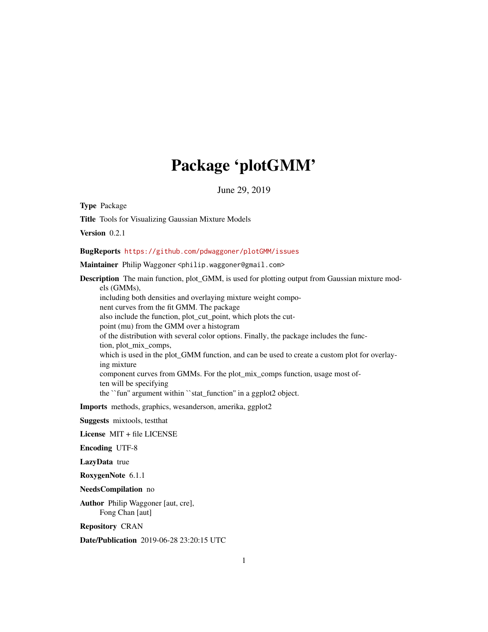## Package 'plotGMM'

June 29, 2019

Type Package

Title Tools for Visualizing Gaussian Mixture Models

Version 0.2.1

BugReports <https://github.com/pdwaggoner/plotGMM/issues>

Maintainer Philip Waggoner <philip.waggoner@gmail.com>

Description The main function, plot\_GMM, is used for plotting output from Gaussian mixture models (GMMs), including both densities and overlaying mixture weight component curves from the fit GMM. The package also include the function, plot\_cut\_point, which plots the cutpoint (mu) from the GMM over a histogram of the distribution with several color options. Finally, the package includes the function, plot\_mix\_comps, which is used in the plot\_GMM function, and can be used to create a custom plot for overlaying mixture component curves from GMMs. For the plot\_mix\_comps function, usage most often will be specifying the ``fun'' argument within ``stat\_function'' in a ggplot2 object.

Imports methods, graphics, wesanderson, amerika, ggplot2

Suggests mixtools, testthat

License MIT + file LICENSE

Encoding UTF-8

LazyData true

RoxygenNote 6.1.1

NeedsCompilation no

Author Philip Waggoner [aut, cre], Fong Chan [aut]

Repository CRAN

Date/Publication 2019-06-28 23:20:15 UTC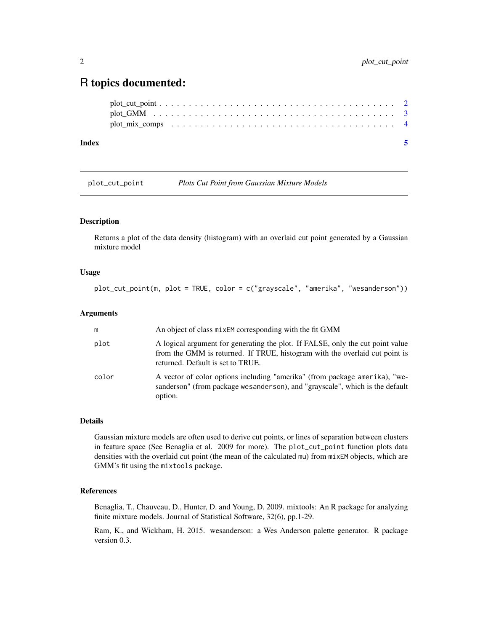### <span id="page-1-0"></span>R topics documented:

| Index |  |
|-------|--|
|       |  |
|       |  |
|       |  |

plot\_cut\_point *Plots Cut Point from Gaussian Mixture Models*

#### Description

Returns a plot of the data density (histogram) with an overlaid cut point generated by a Gaussian mixture model

#### Usage

plot\_cut\_point(m, plot = TRUE, color = c("grayscale", "amerika", "wesanderson"))

#### Arguments

| m     | An object of class mixEM corresponding with the fit GMM                                                                                                                                            |
|-------|----------------------------------------------------------------------------------------------------------------------------------------------------------------------------------------------------|
| plot  | A logical argument for generating the plot. If FALSE, only the cut point value<br>from the GMM is returned. If TRUE, histogram with the overlaid cut point is<br>returned. Default is set to TRUE. |
| color | A vector of color options including "amerika" (from package amerika), "we-<br>sanderson" (from package wesanderson), and "grayscale", which is the default<br>option.                              |

#### Details

Gaussian mixture models are often used to derive cut points, or lines of separation between clusters in feature space (See Benaglia et al. 2009 for more). The plot\_cut\_point function plots data densities with the overlaid cut point (the mean of the calculated mu) from mixEM objects, which are GMM's fit using the mixtools package.

#### References

Benaglia, T., Chauveau, D., Hunter, D. and Young, D. 2009. mixtools: An R package for analyzing finite mixture models. Journal of Statistical Software, 32(6), pp.1-29.

Ram, K., and Wickham, H. 2015. wesanderson: a Wes Anderson palette generator. R package version 0.3.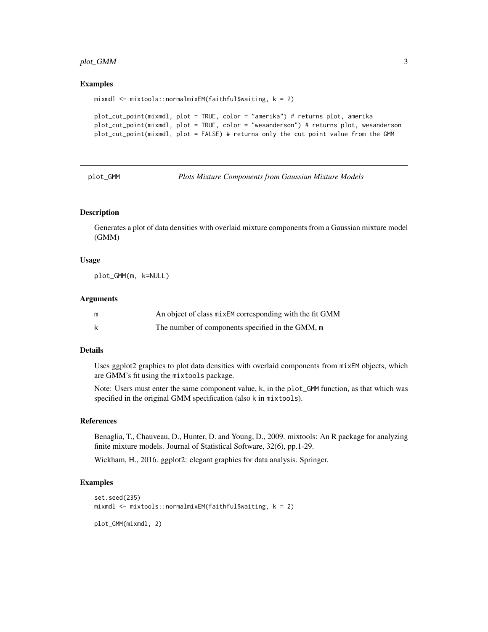#### <span id="page-2-0"></span>plot\_GMM 3

#### Examples

```
mixmdl <- mixtools::normalmixEM(faithful$waiting, k = 2)
plot_cut_point(mixmdl, plot = TRUE, color = "amerika") # returns plot, amerika
plot_cut_point(mixmdl, plot = TRUE, color = "wesanderson") # returns plot, wesanderson
plot_cut_point(mixmdl, plot = FALSE) # returns only the cut point value from the GMM
```
plot\_GMM *Plots Mixture Components from Gaussian Mixture Models*

#### **Description**

Generates a plot of data densities with overlaid mixture components from a Gaussian mixture model (GMM)

#### Usage

plot\_GMM(m, k=NULL)

#### **Arguments**

| m | An object of class mixEM corresponding with the fit GMM |
|---|---------------------------------------------------------|
|   | The number of components specified in the GMM, m        |

#### Details

Uses ggplot2 graphics to plot data densities with overlaid components from mixEM objects, which are GMM's fit using the mixtools package.

Note: Users must enter the same component value, k, in the plot\_GMM function, as that which was specified in the original GMM specification (also k in mixtools).

#### References

Benaglia, T., Chauveau, D., Hunter, D. and Young, D., 2009. mixtools: An R package for analyzing finite mixture models. Journal of Statistical Software, 32(6), pp.1-29.

Wickham, H., 2016. ggplot2: elegant graphics for data analysis. Springer.

#### Examples

```
set.seed(235)
mixmdl <- mixtools::normalmixEM(faithful$waiting, k = 2)
```
plot\_GMM(mixmdl, 2)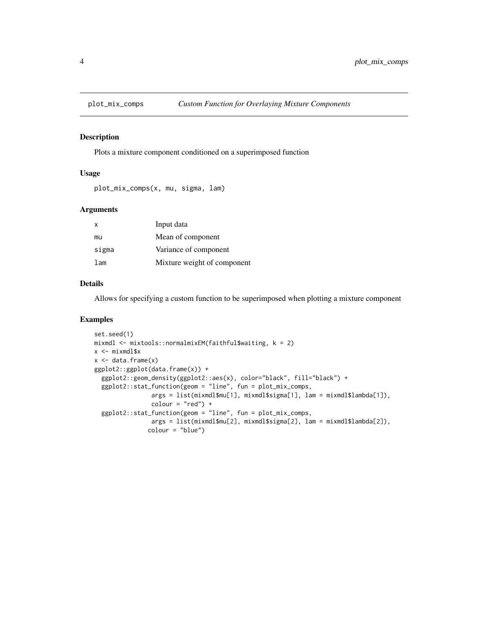<span id="page-3-0"></span>

#### Description

Plots a mixture component conditioned on a superimposed function

#### Usage

```
plot_mix_comps(x, mu, sigma, lam)
```
#### Arguments

| $\mathsf{x}$ | Input data                  |
|--------------|-----------------------------|
| mu           | Mean of component           |
| sigma        | Variance of component       |
| lam          | Mixture weight of component |

#### Details

Allows for specifying a custom function to be superimposed when plotting a mixture component

#### Examples

```
set.seed(1)
mixmdl <- mixtools::normalmixEM(faithful$waiting, k = 2)
x < - mixmdl$x
x \le - data.frame(x)ggplot2::ggplot(data.frame(x)) +
  ggplot2::geom_density(ggplot2::aes(x), color="black", fill="black") +
  ggplot2::stat_function(geom = "line", fun = plot_mix_comps,
                args = list(mixmdl$mu[1], mixmdl$sigma[1], lam = mixmdl$lambda[1]),
                color = "red") +ggplot2::stat_function(geom = "line", fun = plot_mix_comps,
                args = list(mixmdl$mu[2], mixmdl$sigma[2], lam = mixmdl$lambda[2]),
               colour = "blue")
```